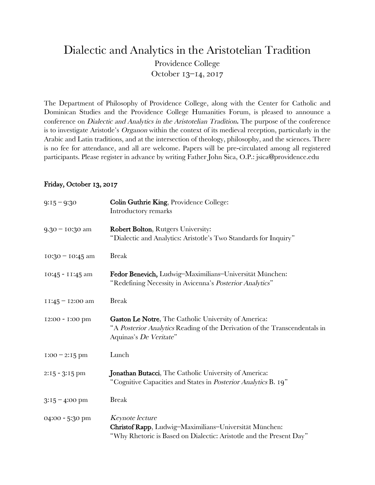## Dialectic and Analytics in the Aristotelian Tradition Providence College October 13–14, 2017

The Department of Philosophy of Providence College, along with the Center for Catholic and Dominican Studies and the Providence College Humanities Forum, is pleased to announce a conference on Dialectic and Analytics in the Aristotelian Tradition. The purpose of the conference is to investigate Aristotle's Organon within the context of its medieval reception, particularly in the Arabic and Latin traditions, and at the intersection of theology, philosophy, and the sciences. There is no fee for attendance, and all are welcome. Papers will be pre-circulated among all registered participants. Please register in advance by writing Father John Sica, O.P.: jsica@providence.edu

## Friday, October 13, 2017

| $9:15 - 9:30$      | Colin Guthrie King, Providence College:<br>Introductory remarks                                                                                                     |
|--------------------|---------------------------------------------------------------------------------------------------------------------------------------------------------------------|
| $9.30 - 10:30$ am  | <b>Robert Bolton, Rutgers University:</b><br>"Dialectic and Analytics: Aristotle's Two Standards for Inquiry"                                                       |
| $10:30 - 10:45$ am | <b>Break</b>                                                                                                                                                        |
| 10:45 - 11:45 am   | Fedor Benevich, Ludwig-Maximilians-Universität München:<br>"Redefining Necessity in Avicenna's Posterior Analytics"                                                 |
| $11:45 - 12:00$ am | <b>Break</b>                                                                                                                                                        |
| 12:00 - 1:00 pm    | <b>Gaston Le Notre, The Catholic University of America:</b><br>"A Posterior Analytics Reading of the Derivation of the Transcendentals in<br>Aquinas's De Veritate" |
| $1:00 - 2:15$ pm   | Lunch                                                                                                                                                               |
| $2:15 - 3:15$ pm   | Jonathan Butacci, The Catholic University of America:<br>"Cognitive Capacities and States in Posterior Analytics B. 19"                                             |
| $3:15 - 4:00$ pm   | <b>Break</b>                                                                                                                                                        |
| 04:00 - 5:30 pm    | Keynote lecture<br>Christof Rapp, Ludwig-Maximilians-Universität München:<br>"Why Rhetoric is Based on Dialectic: Aristotle and the Present Day"                    |